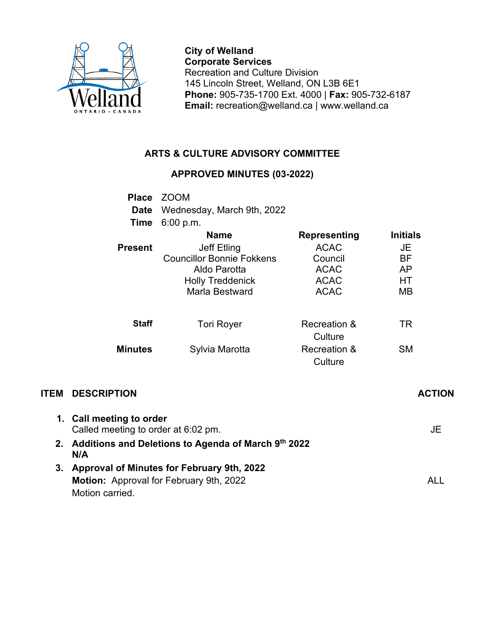

**City of Welland Corporate Services** Recreation and Culture Division 145 Lincoln Street, Welland, ON L3B 6E1 **Phone:** 905-735-1700 Ext. 4000 | **Fax:** 905-732-6187 **Email:** recreation@welland.ca | www.welland.ca

## **ARTS & CULTURE ADVISORY COMMITTEE**

## **APPROVED MINUTES (03-2022)**

| <b>Place</b>   | <b>ZOOM</b>                      |              |                 |
|----------------|----------------------------------|--------------|-----------------|
| Date           | Wednesday, March 9th, 2022       |              |                 |
| Time           | 6:00 p.m.                        |              |                 |
|                | <b>Name</b>                      | Representing | <b>Initials</b> |
| <b>Present</b> | Jeff Etling                      | <b>ACAC</b>  | JE              |
|                | <b>Councillor Bonnie Fokkens</b> | Council      | ВF              |
|                | Aldo Parotta                     | <b>ACAC</b>  | AP              |
|                | <b>Holly Treddenick</b>          | <b>ACAC</b>  | HТ              |
|                | Marla Bestward                   | <b>ACAC</b>  | <b>MB</b>       |
|                |                                  |              |                 |
| <b>Staff</b>   | <b>Tori Royer</b>                | Recreation & | TR              |
|                |                                  | Culture      |                 |
| <b>Minutes</b> | Sylvia Marotta                   | Recreation & | SΜ              |
|                |                                  | Culture      |                 |

## **ITEM DESCRIPTION ACTION**

|    | 1. Call meeting to order<br>Called meeting to order at 6:02 pm. | JE   |
|----|-----------------------------------------------------------------|------|
| 2. | Additions and Deletions to Agenda of March 9th 2022<br>N/A      |      |
| 3. | Approval of Minutes for February 9th, 2022                      |      |
|    | <b>Motion:</b> Approval for February 9th, 2022                  | AL L |
|    | Motion carried.                                                 |      |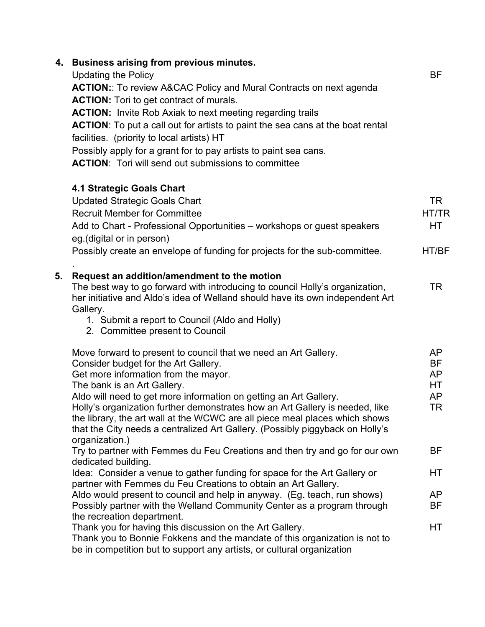|    | 4. Business arising from previous minutes.<br><b>Updating the Policy</b><br><b>ACTION::</b> To review A&CAC Policy and Mural Contracts on next agenda<br><b>ACTION:</b> Tori to get contract of murals.<br><b>ACTION:</b> Invite Rob Axiak to next meeting regarding trails<br>ACTION: To put a call out for artists to paint the sea cans at the boat rental<br>facilities. (priority to local artists) HT<br>Possibly apply for a grant for to pay artists to paint sea cans.<br><b>ACTION:</b> Tori will send out submissions to committee | BF                                      |
|----|-----------------------------------------------------------------------------------------------------------------------------------------------------------------------------------------------------------------------------------------------------------------------------------------------------------------------------------------------------------------------------------------------------------------------------------------------------------------------------------------------------------------------------------------------|-----------------------------------------|
|    | <b>4.1 Strategic Goals Chart</b><br><b>Updated Strategic Goals Chart</b><br><b>Recruit Member for Committee</b><br>Add to Chart - Professional Opportunities - workshops or guest speakers<br>eg. (digital or in person)<br>Possibly create an envelope of funding for projects for the sub-committee.                                                                                                                                                                                                                                        | <b>TR</b><br>HT/TR<br>HТ<br>HT/BF       |
| 5. | Request an addition/amendment to the motion<br>The best way to go forward with introducing to council Holly's organization,<br>her initiative and Aldo's idea of Welland should have its own independent Art<br>Gallery.<br>1. Submit a report to Council (Aldo and Holly)<br>2. Committee present to Council                                                                                                                                                                                                                                 | <b>TR</b>                               |
|    | Move forward to present to council that we need an Art Gallery.<br>Consider budget for the Art Gallery.<br>Get more information from the mayor.<br>The bank is an Art Gallery.<br>Aldo will need to get more information on getting an Art Gallery.<br>Holly's organization further demonstrates how an Art Gallery is needed, like<br>the library, the art wall at the WCWC are all piece meal places which shows<br>that the City needs a centralized Art Gallery. (Possibly piggyback on Holly's                                           | AP<br><b>BF</b><br>AP<br>HТ<br>AP<br>TR |
|    | organization.)<br>Try to partner with Femmes du Feu Creations and then try and go for our own                                                                                                                                                                                                                                                                                                                                                                                                                                                 | ΒF                                      |
|    | dedicated building.<br>Idea: Consider a venue to gather funding for space for the Art Gallery or                                                                                                                                                                                                                                                                                                                                                                                                                                              | НT                                      |
|    | partner with Femmes du Feu Creations to obtain an Art Gallery.<br>Aldo would present to council and help in anyway. (Eg. teach, run shows)<br>Possibly partner with the Welland Community Center as a program through                                                                                                                                                                                                                                                                                                                         | <b>AP</b><br><b>BF</b>                  |
|    | the recreation department.<br>Thank you for having this discussion on the Art Gallery.<br>Thank you to Bonnie Fokkens and the mandate of this organization is not to<br>be in competition but to support any artists, or cultural organization                                                                                                                                                                                                                                                                                                | НT                                      |